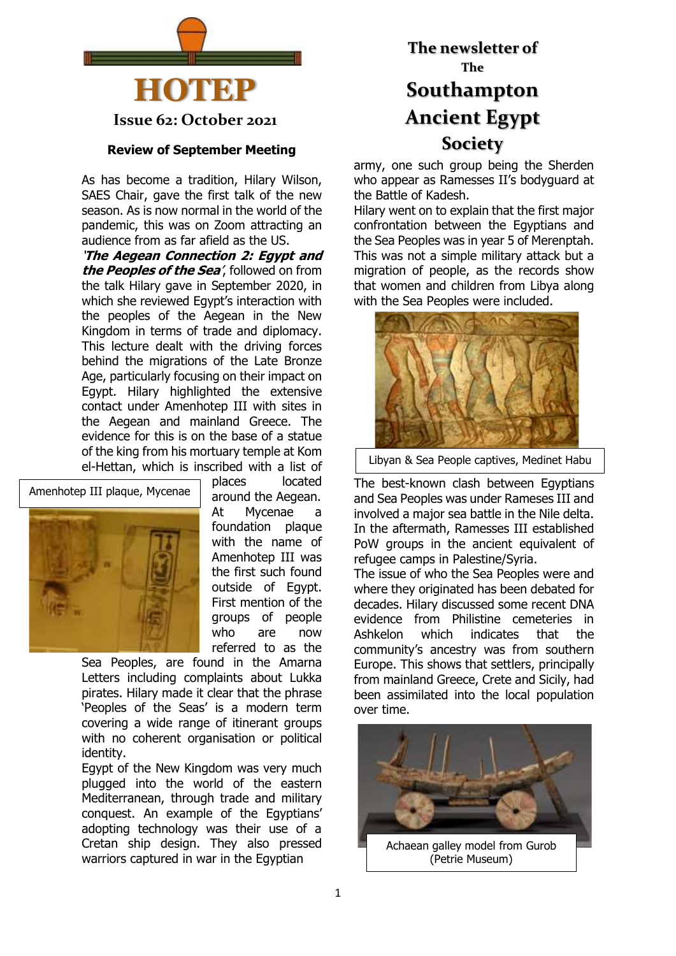

**Issue 62: October 2021**

#### **Review of September Meeting**

As has become a tradition, Hilary Wilson, SAES Chair, gave the first talk of the new season. As is now normal in the world of the pandemic, this was on Zoom attracting an audience from as far afield as the US.

'**The Aegean Connection 2: Egypt and the Peoples of the Sea**', followed on from the talk Hilary gave in September 2020, in which she reviewed Egypt's interaction with the peoples of the Aegean in the New Kingdom in terms of trade and diplomacy. This lecture dealt with the driving forces behind the migrations of the Late Bronze Age, particularly focusing on their impact on Egypt. Hilary highlighted the extensive contact under Amenhotep III with sites in the Aegean and mainland Greece. The evidence for this is on the base of a statue of the king from his mortuary temple at Kom el-Hettan, which is inscribed with a list of



places located around the Aegean.

At Mycenae a foundation plaque with the name of Amenhotep III was the first such found outside of Egypt. First mention of the groups of people who are now referred to as the

Sea Peoples, are found in the Amarna Letters including complaints about Lukka pirates. Hilary made it clear that the phrase 'Peoples of the Seas' is a modern term covering a wide range of itinerant groups with no coherent organisation or political identity.

Egypt of the New Kingdom was very much plugged into the world of the eastern Mediterranean, through trade and military conquest. An example of the Egyptians' adopting technology was their use of a Cretan ship design. They also pressed warriors captured in war in the Egyptian

# **The newsletter of The Southampton Ancient Egypt Society**

army, one such group being the Sherden who appear as Ramesses II's bodyguard at the Battle of Kadesh.

Hilary went on to explain that the first major confrontation between the Egyptians and the Sea Peoples was in year 5 of Merenptah. This was not a simple military attack but a migration of people, as the records show that women and children from Libya along with the Sea Peoples were included.



Libyan & Sea People captives, Medinet Habu

The best-known clash between Egyptians and Sea Peoples was under Rameses III and involved a major sea battle in the Nile delta. In the aftermath, Ramesses III established PoW groups in the ancient equivalent of refugee camps in Palestine/Syria.

The issue of who the Sea Peoples were and where they originated has been debated for decades. Hilary discussed some recent DNA evidence from Philistine cemeteries in Ashkelon which indicates that the community's ancestry was from southern Europe. This shows that settlers, principally from mainland Greece, Crete and Sicily, had been assimilated into the local population over time.

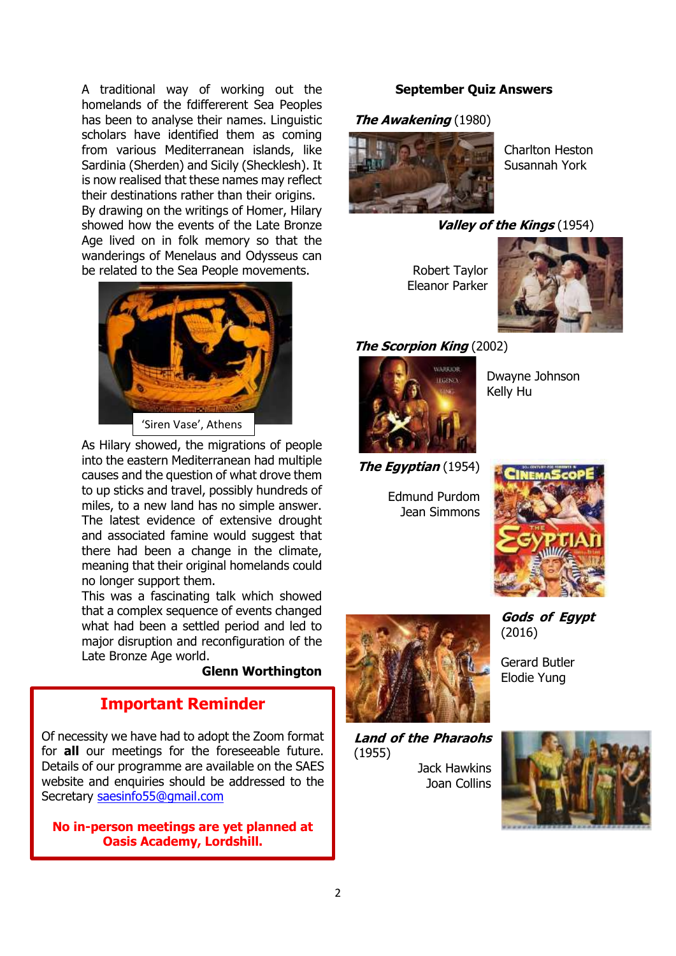A traditional way of working out the homelands of the fdiffererent Sea Peoples has been to analyse their names. Linguistic scholars have identified them as coming from various Mediterranean islands, like Sardinia (Sherden) and Sicily (Shecklesh). It is now realised that these names may reflect their destinations rather than their origins. By drawing on the writings of Homer, Hilary showed how the events of the Late Bronze Age lived on in folk memory so that the wanderings of Menelaus and Odysseus can be related to the Sea People movements.

![](_page_1_Picture_1.jpeg)

As Hilary showed, the migrations of people into the eastern Mediterranean had multiple causes and the question of what drove them to up sticks and travel, possibly hundreds of miles, to a new land has no simple answer. The latest evidence of extensive drought and associated famine would suggest that there had been a change in the climate, meaning that their original homelands could no longer support them.

This was a fascinating talk which showed that a complex sequence of events changed what had been a settled period and led to major disruption and reconfiguration of the Late Bronze Age world.

#### **Glenn Worthington**

# **Important Reminder**

Of necessity we have had to adopt the Zoom format for **all** our meetings for the foreseeable future. Details of our programme are available on the SAES website and enquiries should be addressed to the Secretary [saesinfo55@gmail.com](mailto:saesinfo55@gmail.com)

**No in-person meetings are yet planned at Oasis Academy, Lordshill.**

#### **September Quiz Answers**

#### **The Awakening** (1980)

![](_page_1_Picture_11.jpeg)

Charlton Heston Susannah York

#### **Valley of the Kings** (1954)

Robert Taylor Eleanor Parker

![](_page_1_Picture_15.jpeg)

#### **The Scorpion King** (2002)

![](_page_1_Picture_17.jpeg)

Dwayne Johnson Kelly Hu

**The Egyptian** (1954)

Edmund Purdom Jean Simmons

![](_page_1_Picture_21.jpeg)

![](_page_1_Picture_22.jpeg)

Gerard Butler Elodie Yung

(2016)

**Gods of Egypt**

**Land of the Pharaohs** (1955)

Jack Hawkins Joan Collins

![](_page_1_Picture_26.jpeg)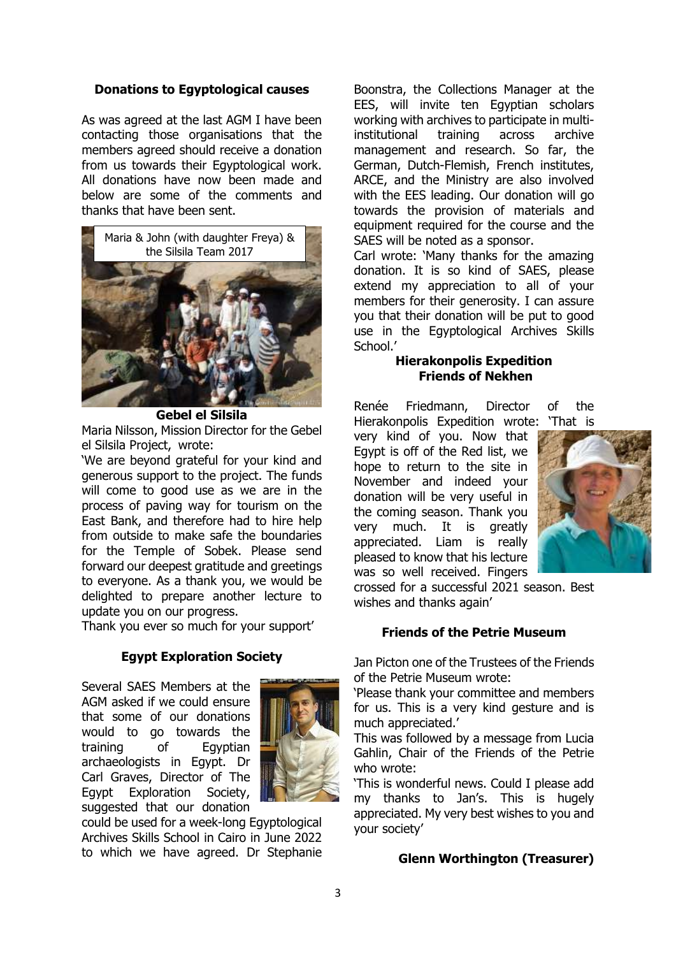#### **Donations to Egyptological causes**

As was agreed at the last AGM I have been contacting those organisations that the members agreed should receive a donation from us towards their Egyptological work. All donations have now been made and below are some of the comments and thanks that have been sent.

![](_page_2_Picture_2.jpeg)

**Gebel el Silsila**

Maria Nilsson, Mission Director for the Gebel el Silsila Project, wrote:

'We are beyond grateful for your kind and generous support to the project. The funds will come to good use as we are in the process of paving way for tourism on the East Bank, and therefore had to hire help from outside to make safe the boundaries for the Temple of Sobek. Please send forward our deepest gratitude and greetings to everyone. As a thank you, we would be delighted to prepare another lecture to update you on our progress.

Thank you ever so much for your support'

### **Egypt Exploration Society**

Several SAES Members at the AGM asked if we could ensure that some of our donations would to go towards the training of Egyptian archaeologists in Egypt. Dr Carl Graves, Director of The Egypt Exploration Society, suggested that our donation

![](_page_2_Picture_9.jpeg)

could be used for a week-long Egyptological Archives Skills School in Cairo in June 2022 to which we have agreed. Dr Stephanie Boonstra, the Collections Manager at the EES, will invite ten Egyptian scholars working with archives to participate in multiinstitutional training across archive management and research. So far, the German, Dutch-Flemish, French institutes, ARCE, and the Ministry are also involved with the EES leading. Our donation will go towards the provision of materials and equipment required for the course and the SAES will be noted as a sponsor.

Carl wrote: 'Many thanks for the amazing donation. It is so kind of SAES, please extend my appreciation to all of your members for their generosity. I can assure you that their donation will be put to good use in the Egyptological Archives Skills School.'

#### **Hierakonpolis Expedition Friends of Nekhen**

Renée Friedmann, Director of the Hierakonpolis Expedition wrote: 'That is

very kind of you. Now that Egypt is off of the Red list, we hope to return to the site in November and indeed your donation will be very useful in the coming season. Thank you very much. It is greatly appreciated. Liam is really pleased to know that his lecture was so well received. Fingers

![](_page_2_Picture_16.jpeg)

crossed for a successful 2021 season. Best wishes and thanks again'

#### **Friends of the Petrie Museum**

Jan Picton one of the Trustees of the Friends of the Petrie Museum wrote:

'Please thank your committee and members for us. This is a very kind gesture and is much appreciated.'

This was followed by a message from Lucia Gahlin, Chair of the Friends of the Petrie who wrote:

'This is wonderful news. Could I please add my thanks to Jan's. This is hugely appreciated. My very best wishes to you and your society'

#### **Glenn Worthington (Treasurer)**